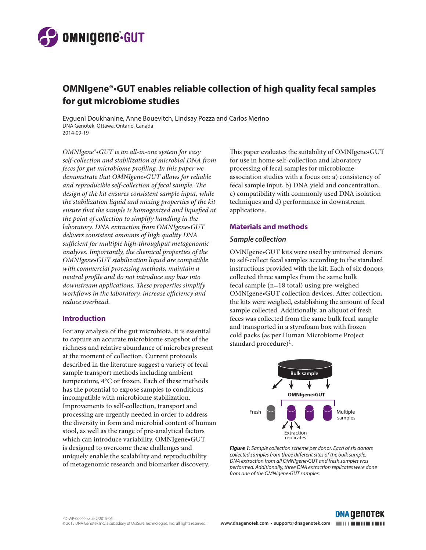

# **OMNIgene®•GUT enables reliable collection of high quality fecal samples for gut microbiome studies**

Evgueni Doukhanine, Anne Bouevitch, Lindsay Pozza and Carlos Merino DNA Genotek, Ottawa, Ontario, Canada 2014-09-19

*OMNIgene®•GUT is an all-in-one system for easy self-collection and stabilization of microbial DNA from feces for gut microbiome profiling. In this paper we demonstrate that OMNIgene•GUT allows for reliable and reproducible self-collection of fecal sample. The design of the kit ensures consistent sample input, while the stabilization liquid and mixing properties of the kit ensure that the sample is homogenized and liquefied at the point of collection to simplify handling in the laboratory. DNA extraction from OMNIgene•GUT delivers consistent amounts of high quality DNA sufficient for multiple high-throughput metagenomic analyses. Importantly, the chemical properties of the OMNIgene•GUT stabilization liquid are compatible with commercial processing methods, maintain a neutral profile and do not introduce any bias into downstream applications. These properties simplify workflows in the laboratory, increase efficiency and reduce overhead.*

#### **Introduction**

For any analysis of the gut microbiota, it is essential to capture an accurate microbiome snapshot of the richness and relative abundance of microbes present at the moment of collection. Current protocols described in the literature suggest a variety of fecal sample transport methods including ambient temperature, 4°C or frozen. Each of these methods has the potential to expose samples to conditions incompatible with microbiome stabilization. Improvements to self-collection, transport and processing are urgently needed in order to address the diversity in form and microbial content of human stool, as well as the range of pre-analytical factors which can introduce variability. OMNIgene•GUT is designed to overcome these challenges and uniquely enable the scalability and reproducibility of metagenomic research and biomarker discovery.

This paper evaluates the suitability of OMNIgene•GUT for use in home self-collection and laboratory processing of fecal samples for microbiomeassociation studies with a focus on: a) consistency of fecal sample input, b) DNA yield and concentration, c) compatibility with commonly used DNA isolation techniques and d) performance in downstream applications.

#### **Materials and methods**

### *Sample collection*

OMNIgene•GUT kits were used by untrained donors to self-collect fecal samples according to the standard instructions provided with the kit. Each of six donors collected three samples from the same bulk fecal sample (n=18 total) using pre-weighed OMNIgene•GUT collection devices. After collection, the kits were weighed, establishing the amount of fecal sample collected. Additionally, an aliquot of fresh feces was collected from the same bulk fecal sample and transported in a styrofoam box with frozen cold packs (as per Human Microbiome Project standard procedure)<sup>1</sup>.



*Figure 1: Sample collection scheme per donor. Each of six donors collected samples from three different sites of the bulk sample. DNA extraction from all OMNIgene•GUT and fresh samples was performed. Additionally, three DNA extraction replicates were done from one of the OMNIgene•GUT samples.* 

**DNA GENOTEK**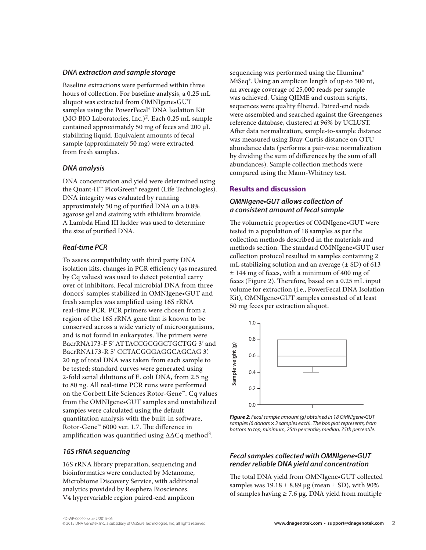#### *DNA extraction and sample storage*

Baseline extractions were performed within three hours of collection. For baseline analysis, a 0.25 mL aliquot was extracted from OMNIgene•GUT samples using the PowerFecal® DNA Isolation Kit (MO BIO Laboratories, Inc.)2. Each 0.25 mL sample contained approximately 50 mg of feces and 200 µL stabilizing liquid. Equivalent amounts of fecal sample (approximately 50 mg) were extracted from fresh samples.

## *DNA analysis*

DNA concentration and yield were determined using the Quant-iT™ PicoGreen® reagent (Life Technologies). DNA integrity was evaluated by running approximately 50 ng of purified DNA on a 0.8% agarose gel and staining with ethidium bromide. A Lambda Hind III ladder was used to determine the size of purified DNA.

### *Real-time PCR*

To assess compatibility with third party DNA isolation kits, changes in PCR efficiency (as measured by Cq values) was used to detect potential carry over of inhibitors. Fecal microbial DNA from three donors' samples stabilized in OMNIgene•GUT and fresh samples was amplified using 16S rRNA real-time PCR. PCR primers were chosen from a region of the 16S rRNA gene that is known to be conserved across a wide variety of microorganisms, and is not found in eukaryotes. The primers were BacrRNA173-F 5' ATTACCGCGGCTGCTGG 3' and BacrRNA173-R 5' CCTACGGGAGGCAGCAG 3'. 20 ng of total DNA was taken from each sample to be tested; standard curves were generated using 2-fold serial dilutions of E. coli DNA, from 2.5 ng to 80 ng. All real-time PCR runs were performed on the Corbett Life Sciences Rotor-Gene™. Cq values from the OMNIgene•GUT samples and unstabilized samples were calculated using the default quantitation analysis with the built-in software, Rotor-Gene™ 6000 ver. 1.7. The difference in amplification was quantified using ∆∆Cq method3.

### *16S rRNA sequencing*

16S rRNA library preparation, sequencing and bioinformatics were conducted by Metanome, Microbiome Discovery Service, with additional analytics provided by Resphera Biosciences. V4 hypervariable region paired-end amplicon

sequencing was performed using the Illumina® MiSeq®. Using an amplicon length of up-to 500 nt, an average coverage of 25,000 reads per sample was achieved. Using QIIME and custom scripts, sequences were quality filtered. Paired-end reads were assembled and searched against the Greengenes reference database, clustered at 96% by UCLUST. After data normalization, sample-to-sample distance was measured using Bray-Curtis distance on OTU abundance data (performs a pair-wise normalization by dividing the sum of differences by the sum of all abundances). Sample collection methods were compared using the Mann-Whitney test.

# **Results and discussion**

# *OMNIgene•GUT allows collection of a consistent amount of fecal sample*

The volumetric properties of OMNIgene•GUT were tested in a population of 18 samples as per the collection methods described in the materials and methods section. The standard OMNIgene•GUT user collection protocol resulted in samples containing 2 mL stabilizing solution and an average  $(\pm SD)$  of 613 ± 144 mg of feces, with a minimum of 400 mg of feces (Figure 2). Therefore, based on a 0.25 mL input volume for extraction (i.e., PowerFecal DNA Isolation Kit), OMNIgene•GUT samples consisted of at least 50 mg feces per extraction aliquot.



*Figure 2: Fecal sample amount (g) obtained in 18 OMNIgene•GUT samples (6 donors × 3 samples each). The box plot represents, from bottom to top, minimum, 25th percentile, median, 75th percentile.* 

## *Fecal samples collected with OMNIgene•GUT render reliable DNA yield and concentration*

The total DNA yield from OMNIgene•GUT collected samples was  $19.18 \pm 8.89$  µg (mean  $\pm$  SD), with 90% of samples having  $\geq 7.6$  µg. DNA yield from multiple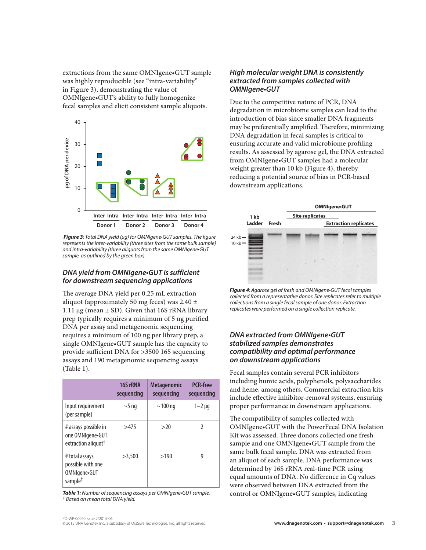extractions from the same OMNIgene•GUT sample was highly reproducible (see "intra-variability" in Figure 3), demonstrating the value of OMNIgene•GUT's ability to fully homogenize fecal samples and elicit consistent sample aliquots.



*Figure 3: Total DNA yield (µg) for OMNIgene•GUT samples. The figure represents the inter-variability (three sites from the same bulk sample) and intra-variability (three aliquots from the same OMNIgene•GUT sample, as outlined by the green box).*

# *DNA yield from OMNIgene•GUT is sufficient for downstream sequencing applications*

The average DNA yield per 0.25 mL extraction aliquot (approximately 50 mg feces) was  $2.40 \pm$ 1.11  $\mu$ g (mean  $\pm$  SD). Given that 16S rRNA library prep typically requires a minimum of 5 ng purified DNA per assay and metagenomic sequencing requires a minimum of 100 ng per library prep, a single OMNIgene•GUT sample has the capacity to provide sufficient DNA for >3500 16S sequencing assays and 190 metagenomic sequencing assays (Table 1).

|                                                                             | 16S rRNA<br>sequencing | <b>Metagenomic</b><br>sequencing | <b>PCR-free</b><br>sequencing |
|-----------------------------------------------------------------------------|------------------------|----------------------------------|-------------------------------|
| Input requirement<br>(per sample)                                           | $\sim$ 5 ng            | $\sim$ 100 ng                    | $1 - 2$ $\mu$ g               |
| # assays possible in<br>one OMNIgene•GUT<br>extraction aliquot <sup>†</sup> | >475                   | >20                              | 2                             |
| # total assays<br>possible with one<br>OMNIgene-GUT<br>sample $^\dagger$    | >3.500                 | >190                             | g                             |

*Table 1: Number of sequencing assays per OMNIgene•GUT sample. † Based on mean total DNA yield.* 

## *High molecular weight DNA is consistently extracted from samples collected with OMNIgene•GUT*

Due to the competitive nature of PCR, DNA degradation in microbiome samples can lead to the introduction of bias since smaller DNA fragments may be preferentially amplified. Therefore, minimizing DNA degradation in fecal samples is critical to ensuring accurate and valid microbiome profiling results. As assessed by agarose gel, the DNA extracted from OMNIgene•GUT samples had a molecular weight greater than 10 kb (Figure 4), thereby reducing a potential source of bias in PCR-based downstream applications.



*Figure 4: Agarose gel of fresh and OMNIgene•GUT fecal samples collected from a representative donor. Site replicates refer to multiple collections from a single fecal sample of one donor. Extraction replicates were performed on a single collection replicate.*

# *DNA extracted from OMNIgene•GUT stabilized samples demonstrates compatibility and optimal performance on downstream applications*

Fecal samples contain several PCR inhibitors including humic acids, polyphenols, polysaccharides and heme, among others. Commercial extraction kits include effective inhibitor-removal systems, ensuring proper performance in downstream applications.

The compatibility of samples collected with OMNIgene•GUT with the PowerFecal DNA Isolation Kit was assessed. Three donors collected one fresh sample and one OMNIgene•GUT sample from the same bulk fecal sample. DNA was extracted from an aliquot of each sample. DNA performance was determined by 16S rRNA real-time PCR using equal amounts of DNA. No difference in Cq values were observed between DNA extracted from the control or OMNIgene•GUT samples, indicating